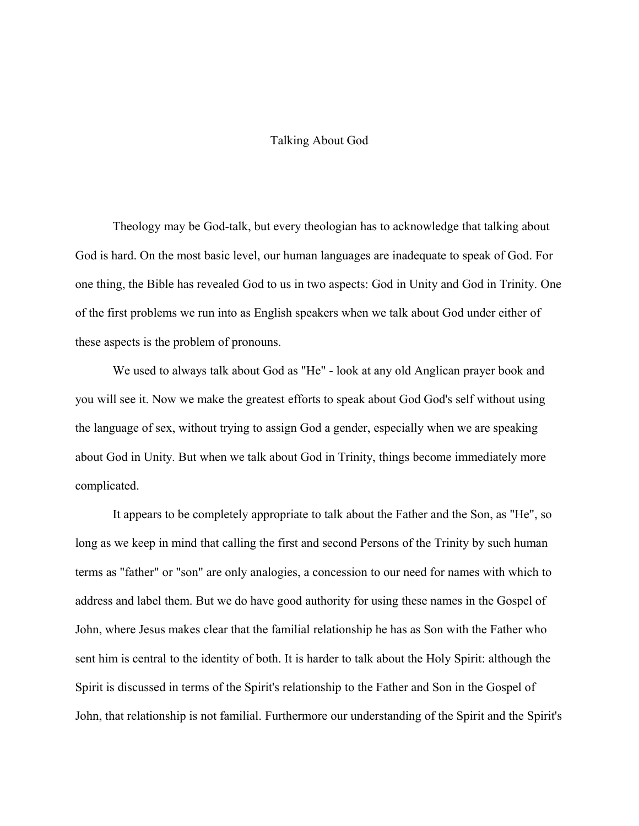## Talking About God

Theology may be God-talk, but every theologian has to acknowledge that talking about God is hard. On the most basic level, our human languages are inadequate to speak of God. For one thing, the Bible has revealed God to us in two aspects: God in Unity and God in Trinity. One of the first problems we run into as English speakers when we talk about God under either of these aspects is the problem of pronouns.

We used to always talk about God as "He" - look at any old Anglican prayer book and you will see it. Now we make the greatest efforts to speak about God God's self without using the language of sex, without trying to assign God a gender, especially when we are speaking about God in Unity. But when we talk about God in Trinity, things become immediately more complicated.

It appears to be completely appropriate to talk about the Father and the Son, as "He", so long as we keep in mind that calling the first and second Persons of the Trinity by such human terms as "father" or "son" are only analogies, a concession to our need for names with which to address and label them. But we do have good authority for using these names in the Gospel of John, where Jesus makes clear that the familial relationship he has as Son with the Father who sent him is central to the identity of both. It is harder to talk about the Holy Spirit: although the Spirit is discussed in terms of the Spirit's relationship to the Father and Son in the Gospel of John, that relationship is not familial. Furthermore our understanding of the Spirit and the Spirit's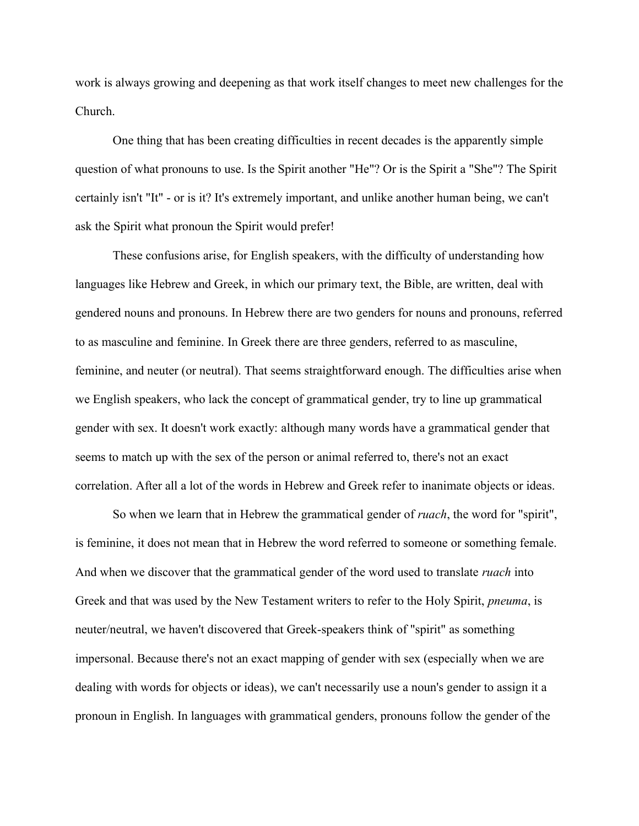work is always growing and deepening as that work itself changes to meet new challenges for the Church.

One thing that has been creating difficulties in recent decades is the apparently simple question of what pronouns to use. Is the Spirit another "He"? Or is the Spirit a "She"? The Spirit certainly isn't "It" - or is it? It's extremely important, and unlike another human being, we can't ask the Spirit what pronoun the Spirit would prefer!

These confusions arise, for English speakers, with the difficulty of understanding how languages like Hebrew and Greek, in which our primary text, the Bible, are written, deal with gendered nouns and pronouns. In Hebrew there are two genders for nouns and pronouns, referred to as masculine and feminine. In Greek there are three genders, referred to as masculine, feminine, and neuter (or neutral). That seems straightforward enough. The difficulties arise when we English speakers, who lack the concept of grammatical gender, try to line up grammatical gender with sex. It doesn't work exactly: although many words have a grammatical gender that seems to match up with the sex of the person or animal referred to, there's not an exact correlation. After all a lot of the words in Hebrew and Greek refer to inanimate objects or ideas.

So when we learn that in Hebrew the grammatical gender of *ruach*, the word for "spirit", is feminine, it does not mean that in Hebrew the word referred to someone or something female. And when we discover that the grammatical gender of the word used to translate *ruach* into Greek and that was used by the New Testament writers to refer to the Holy Spirit, *pneuma*, is neuter/neutral, we haven't discovered that Greek-speakers think of "spirit" as something impersonal. Because there's not an exact mapping of gender with sex (especially when we are dealing with words for objects or ideas), we can't necessarily use a noun's gender to assign it a pronoun in English. In languages with grammatical genders, pronouns follow the gender of the